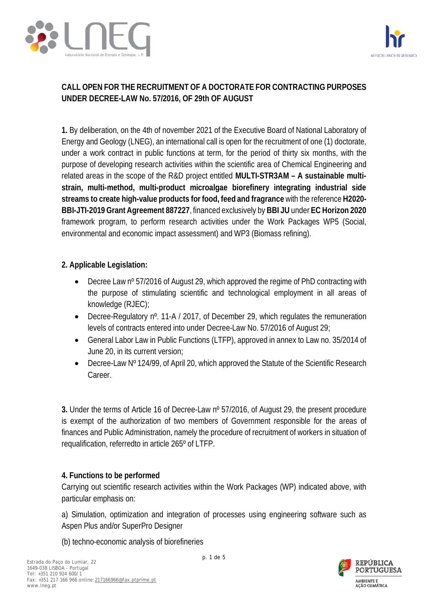



# **CALL OPEN FOR THE RECRUITMENT OF A DOCTORATE FOR CONTRACTING PURPOSES UNDER DECREE-LAW No. 57/2016, OF 29th OF AUGUST**

**1.** By deliberation, on the 4th of november 2021 of the Executive Board of National Laboratory of Energy and Geology (LNEG), an international call is open for the recruitment of one (1) doctorate, under a work contract in public functions at term, for the period of thirty six months, with the purpose of developing research activities within the scientific area of Chemical Engineering and related areas in the scope of the R&D project entitled **MULTI-STR3AM – A sustainable multistrain, multi-method, multi-product microalgae biorefinery integrating industrial side streams to create high-value products for food, feed and fragrance** with the reference **H2020- BBI-JTI-2019 Grant Agreement 887227**, financed exclusively by **BBI JU** under **EC Horizon 2020** framework program, to perform research activities under the Work Packages WP5 (Social, environmental and economic impact assessment) and WP3 (Biomass refining).

#### **2. Applicable Legislation:**

- Decree Law n<sup>o</sup> 57/2016 of August 29, which approved the regime of PhD contracting with the purpose of stimulating scientific and technological employment in all areas of knowledge (RJEC);
- Decree-Regulatory n<sup>o</sup>. 11-A / 2017, of December 29, which regulates the remuneration levels of contracts entered into under Decree-Law No. 57/2016 of August 29;
- General Labor Law in Public Functions (LTFP), approved in annex to Law no. 35/2014 of June 20, in its current version;
- Decree-Law Nº 124/99, of April 20, which approved the Statute of the Scientific Research Career.

**3.** Under the terms of Article 16 of Decree-Law nº 57/2016, of August 29, the present procedure is exempt of the authorization of two members of Government responsible for the areas of finances and Public Administration, namely the procedure of recruitment of workers in situation of requalification, referredto in article 265º of LTFP.

#### **4. Functions to be performed**

Carrying out scientific research activities within the Work Packages (WP) indicated above, with particular emphasis on:

a) Simulation, optimization and integration of processes using engineering software such as Aspen Plus and/or SuperPro Designer

(b) techno-economic analysis of biorefineries

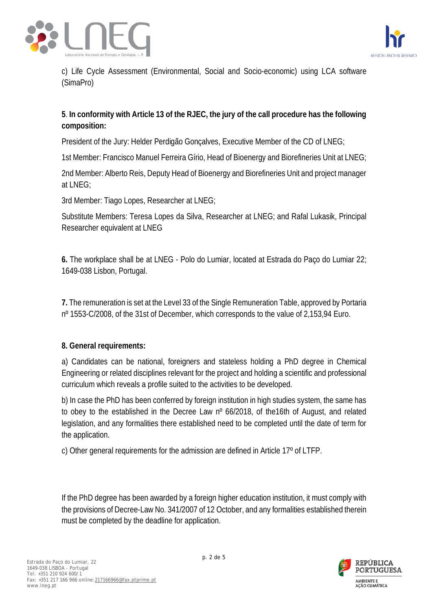



c) Life Cycle Assessment (Environmental, Social and Socio-economic) using LCA software (SimaPro)

## **5**. **In conformity with Article 13 of the RJEC, the jury of the call procedure has the following composition:**

President of the Jury: Helder Perdigão Gonçalves, Executive Member of the CD of LNEG;

1st Member: Francisco Manuel Ferreira Gírio, Head of Bioenergy and Biorefineries Unit at LNEG;

2nd Member: Alberto Reis, Deputy Head of Bioenergy and Biorefineries Unit and project manager at LNEG;

3rd Member: Tiago Lopes, Researcher at LNEG;

Substitute Members: Teresa Lopes da Silva, Researcher at LNEG; and Rafal Lukasik, Principal Researcher equivalent at LNEG

**6.** The workplace shall be at LNEG - Polo do Lumiar, located at Estrada do Paço do Lumiar 22; 1649-038 Lisbon, Portugal.

**7.** The remuneration is set at the Level 33 of the Single Remuneration Table, approved by Portaria nº 1553-C/2008, of the 31st of December, which corresponds to the value of 2,153,94 Euro.

#### **8. General requirements:**

a) Candidates can be national, foreigners and stateless holding a PhD degree in Chemical Engineering or related disciplines relevant for the project and holding a scientific and professional curriculum which reveals a profile suited to the activities to be developed.

b) In case the PhD has been conferred by foreign institution in high studies system, the same has to obey to the established in the Decree Law nº 66/2018, of the16th of August, and related legislation, and any formalities there established need to be completed until the date of term for the application.

c) Other general requirements for the admission are defined in Article 17º of LTFP.

If the PhD degree has been awarded by a foreign higher education institution, it must comply with the provisions of Decree-Law No. 341/2007 of 12 October, and any formalities established therein must be completed by the deadline for application.

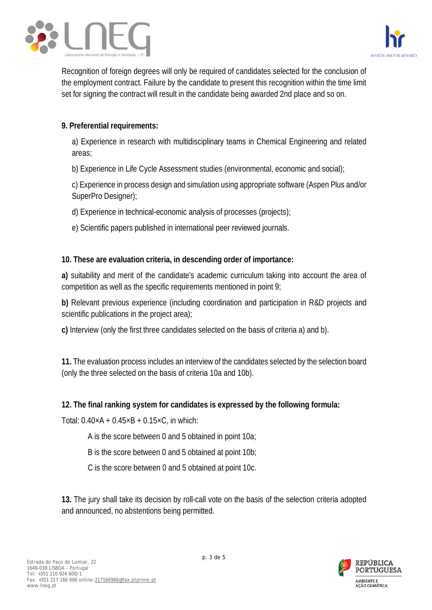



Recognition of foreign degrees will only be required of candidates selected for the conclusion of the employment contract. Failure by the candidate to present this recognition within the time limit set for signing the contract will result in the candidate being awarded 2nd place and so on.

### **9. Preferential requirements:**

a) Experience in research with multidisciplinary teams in Chemical Engineering and related areas;

b) Experience in Life Cycle Assessment studies (environmental, economic and social);

c) Experience in process design and simulation using appropriate software (Aspen Plus and/or SuperPro Designer);

- d) Experience in technical-economic analysis of processes (projects);
- e) Scientific papers published in international peer reviewed journals.

#### **10. These are evaluation criteria, in descending order of importance:**

**a)** suitability and merit of the candidate's academic curriculum taking into account the area of competition as well as the specific requirements mentioned in point 9;

**b)** Relevant previous experience (including coordination and participation in R&D projects and scientific publications in the project area);

**c)** Interview (only the first three candidates selected on the basis of criteria a) and b).

**11.** The evaluation process includes an interview of the candidates selected by the selection board (only the three selected on the basis of criteria 10a and 10b).

#### **12. The final ranking system for candidates is expressed by the following formula:**

Total:  $0.40 \times A + 0.45 \times B + 0.15 \times C$ , in which:

- A is the score between 0 and 5 obtained in point 10a;
- B is the score between 0 and 5 obtained at point 10b;
- C is the score between 0 and 5 obtained at point 10c.

**13.** The jury shall take its decision by roll-call vote on the basis of the selection criteria adopted and announced, no abstentions being permitted.

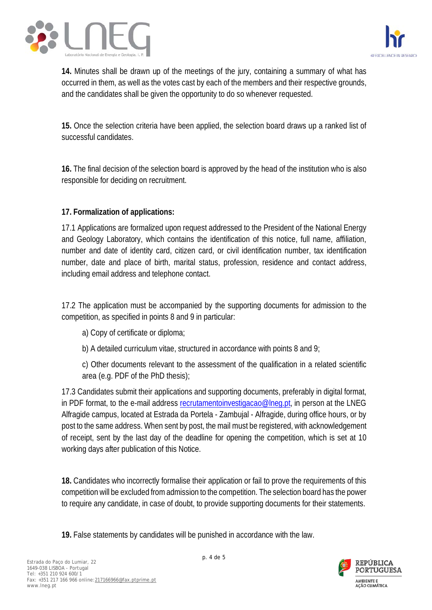



**14.** Minutes shall be drawn up of the meetings of the jury, containing a summary of what has occurred in them, as well as the votes cast by each of the members and their respective grounds, and the candidates shall be given the opportunity to do so whenever requested.

**15.** Once the selection criteria have been applied, the selection board draws up a ranked list of successful candidates.

**16.** The final decision of the selection board is approved by the head of the institution who is also responsible for deciding on recruitment.

## **17. Formalization of applications:**

17.1 Applications are formalized upon request addressed to the President of the National Energy and Geology Laboratory, which contains the identification of this notice, full name, affiliation, number and date of identity card, citizen card, or civil identification number, tax identification number, date and place of birth, marital status, profession, residence and contact address, including email address and telephone contact.

17.2 The application must be accompanied by the supporting documents for admission to the competition, as specified in points 8 and 9 in particular:

- a) Copy of certificate or diploma;
- b) A detailed curriculum vitae, structured in accordance with points 8 and 9;
- c) Other documents relevant to the assessment of the qualification in a related scientific area (e.g. PDF of the PhD thesis);

17.3 Candidates submit their applications and supporting documents, preferably in digital format, in PDF format, to the e-mail address [recrutamentoinvestigacao@lneg.pt,](mailto:recrutamentoinvestigacao@lneg.pt) in person at the LNEG Alfragide campus, located at Estrada da Portela - Zambujal - Alfragide, during office hours, or by post to the same address. When sent by post, the mail must be registered, with acknowledgement of receipt, sent by the last day of the deadline for opening the competition, which is set at 10 working days after publication of this Notice.

**18.** Candidates who incorrectly formalise their application or fail to prove the requirements of this competition will be excluded from admission to the competition. The selection board has the power to require any candidate, in case of doubt, to provide supporting documents for their statements.

**19.** False statements by candidates will be punished in accordance with the law.